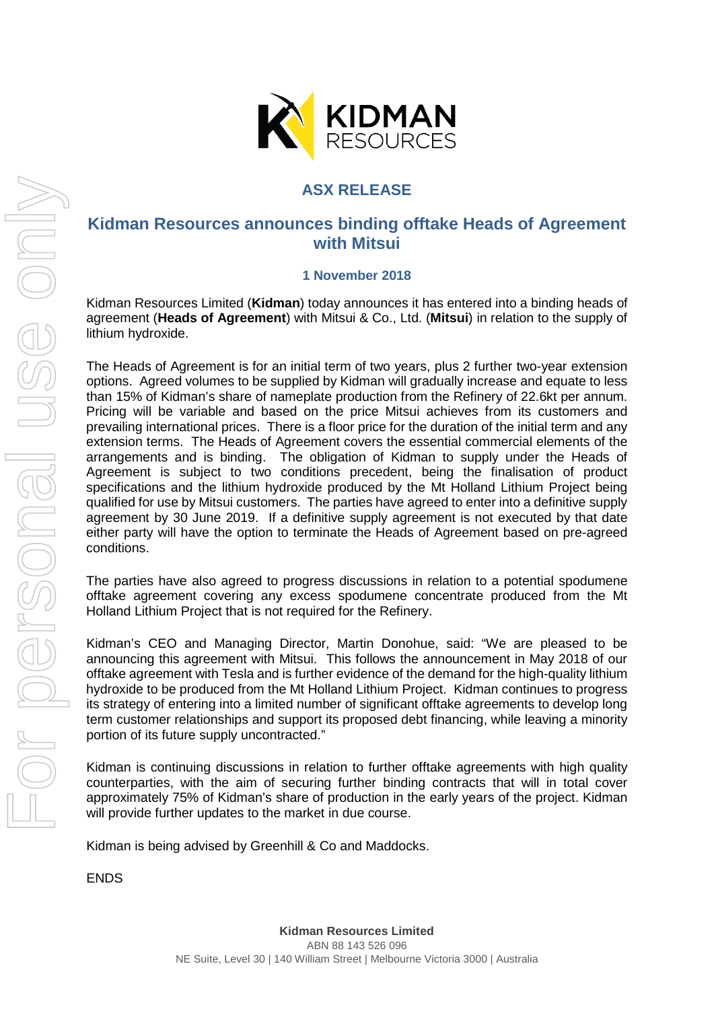

## **ASX RELEASE**

## **Kidman Resources announces binding offtake Heads of Agreement with Mitsui**

#### **1 November 2018**

Kidman Resources Limited (**Kidman**) today announces it has entered into a binding heads of agreement (**Heads of Agreement**) with Mitsui & Co., Ltd. (**Mitsui**) in relation to the supply of lithium hydroxide.

The Heads of Agreement is for an initial term of two years, plus 2 further two-year extension options. Agreed volumes to be supplied by Kidman will gradually increase and equate to less than 15% of Kidman's share of nameplate production from the Refinery of 22.6kt per annum. Pricing will be variable and based on the price Mitsui achieves from its customers and prevailing international prices. There is a floor price for the duration of the initial term and any extension terms. The Heads of Agreement covers the essential commercial elements of the arrangements and is binding. The obligation of Kidman to supply under the Heads of Agreement is subject to two conditions precedent, being the finalisation of product specifications and the lithium hydroxide produced by the Mt Holland Lithium Project being qualified for use by Mitsui customers. The parties have agreed to enter into a definitive supply agreement by 30 June 2019. If a definitive supply agreement is not executed by that date either party will have the option to terminate the Heads of Agreement based on pre-agreed conditions.

The parties have also agreed to progress discussions in relation to a potential spodumene offtake agreement covering any excess spodumene concentrate produced from the Mt Holland Lithium Project that is not required for the Refinery.

Kidman's CEO and Managing Director, Martin Donohue, said: "We are pleased to be announcing this agreement with Mitsui. This follows the announcement in May 2018 of our offtake agreement with Tesla and is further evidence of the demand for the high-quality lithium hydroxide to be produced from the Mt Holland Lithium Project. Kidman continues to progress its strategy of entering into a limited number of significant offtake agreements to develop long term customer relationships and support its proposed debt financing, while leaving a minority portion of its future supply uncontracted."

Kidman is continuing discussions in relation to further offtake agreements with high quality counterparties, with the aim of securing further binding contracts that will in total cover approximately 75% of Kidman's share of production in the early years of the project. Kidman will provide further updates to the market in due course.

Kidman is being advised by Greenhill & Co and Maddocks.

ENDS